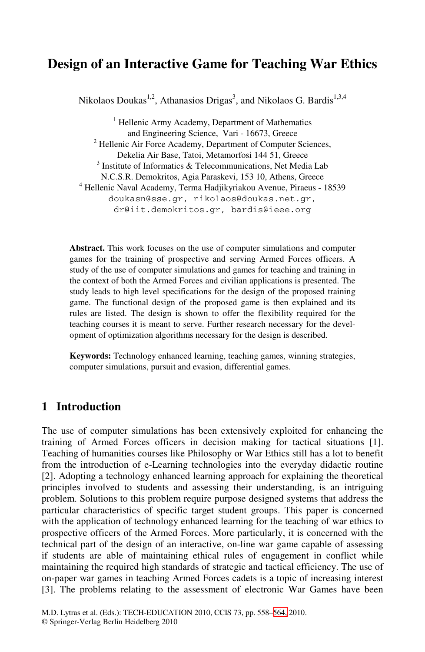# **Design of an Interactive Game for Teaching War Ethics**

Nikolaos Doukas<sup>1,2</sup>, Athanasios Drigas<sup>3</sup>, and Nikolaos G. Bardis<sup>1,3,4</sup>

<sup>1</sup> Hellenic Army Academy, Department of Mathematics and Engineering Science, Vari - 16673, Greece<br><sup>2</sup> Hellenic Air Force Academy, Department of Computer Sciences, Dekelia Air Base, Tatoi, Metamorfosi 144 51, Greece  $3$  Institute of Informatics & Telecommunications, Net Media Lab N.C.S.R. Demokritos, Agia Paraskevi, 153 10, Athens, Greece <sup>4</sup> Hellenic Naval Academy, Terma Hadjikyriakou Avenue, Piraeus - 18539 doukasn@sse.gr, nikolaos@doukas.net.gr, dr@iit.demokritos.gr, bardis@ieee.org

**Abstract.** This work focuses on the use of computer simulations and computer games for the training of prospective and serving Armed Forces officers. A study of the use of computer simulations and games for teaching and training in the context of both the Armed Forces and civilian applications is presented. The study leads to high level specifications for the design of the proposed training game. The functional design of the proposed game is then explained and its rules are listed. The design is shown to offer the flexibility required for the teaching courses it is meant to serve. Further research necessary for the development of optimization algorithms necessary for the design is described.

**Keywords:** Technology enhanced learning, teaching games, winning strategies, computer simulations, pursuit and evasion, differential games.

# **1 Introduction**

The use of computer simulations has been extensively exploited for enhancing the training of Armed Forces officers in decision making for tactical situations [1]. Teaching of humanities courses like Philosophy or War Ethics still has a lot to benefit from the introduction of e-Learning technologies into the everyday didactic routine [2]. Adopting a technology enhanced learning approach for explaining the theoretical principles involved to students and assessing their understanding, is an intriguing problem. Solutions to this problem require purpose designed systems that address the particular characteristics of specific target student groups. This paper is concerned with the application of technology en[hanc](#page-6-0)ed learning for the teaching of war ethics to prospective officers of the Armed Forces. More particularly, it is concerned with the technical part of the design of an interactive, on-line war game capable of assessing if students are able of maintaining ethical rules of engagement in conflict while maintaining the required high standards of strategic and tactical efficiency. The use of on-paper war games in teaching Armed Forces cadets is a topic of increasing interest [3]. The problems relating to the assessment of electronic War Games have been

M.D. Lytras et al. (Eds.): TECH-EDUCATION 2010, CCIS 73, pp. 558–564, 2010. © Springer-Verlag Berlin Heidelberg 2010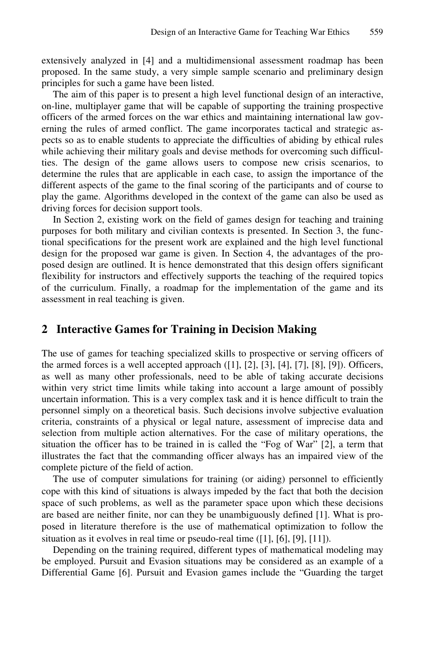extensively analyzed in [4] and a multidimensional assessment roadmap has been proposed. In the same study, a very simple sample scenario and preliminary design principles for such a game have been listed.

The aim of this paper is to present a high level functional design of an interactive, on-line, multiplayer game that will be capable of supporting the training prospective officers of the armed forces on the war ethics and maintaining international law governing the rules of armed conflict. The game incorporates tactical and strategic aspects so as to enable students to appreciate the difficulties of abiding by ethical rules while achieving their military goals and devise methods for overcoming such difficulties. The design of the game allows users to compose new crisis scenarios, to determine the rules that are applicable in each case, to assign the importance of the different aspects of the game to the final scoring of the participants and of course to play the game. Algorithms developed in the context of the game can also be used as driving forces for decision support tools.

In Section 2, existing work on the field of games design for teaching and training purposes for both military and civilian contexts is presented. In Section 3, the functional specifications for the present work are explained and the high level functional design for the proposed war game is given. In Section 4, the advantages of the proposed design are outlined. It is hence demonstrated that this design offers significant flexibility for instructors and effectively supports the teaching of the required topics of the curriculum. Finally, a roadmap for the implementation of the game and its assessment in real teaching is given.

## **2 Interactive Games for Training in Decision Making**

The use of games for teaching specialized skills to prospective or serving officers of the armed forces is a well accepted approach  $([1], [2], [3], [4], [7], [8], [9])$ . Officers, as well as many other professionals, need to be able of taking accurate decisions within very strict time limits while taking into account a large amount of possibly uncertain information. This is a very complex task and it is hence difficult to train the personnel simply on a theoretical basis. Such decisions involve subjective evaluation criteria, constraints of a physical or legal nature, assessment of imprecise data and selection from multiple action alternatives. For the case of military operations, the situation the officer has to be trained in is called the "Fog of War" [2], a term that illustrates the fact that the commanding officer always has an impaired view of the complete picture of the field of action.

The use of computer simulations for training (or aiding) personnel to efficiently cope with this kind of situations is always impeded by the fact that both the decision space of such problems, as well as the parameter space upon which these decisions are based are neither finite, nor can they be unambiguously defined [1]. What is proposed in literature therefore is the use of mathematical optimization to follow the situation as it evolves in real time or pseudo-real time ([1], [6], [9], [11]).

Depending on the training required, different types of mathematical modeling may be employed. Pursuit and Evasion situations may be considered as an example of a Differential Game [6]. Pursuit and Evasion games include the "Guarding the target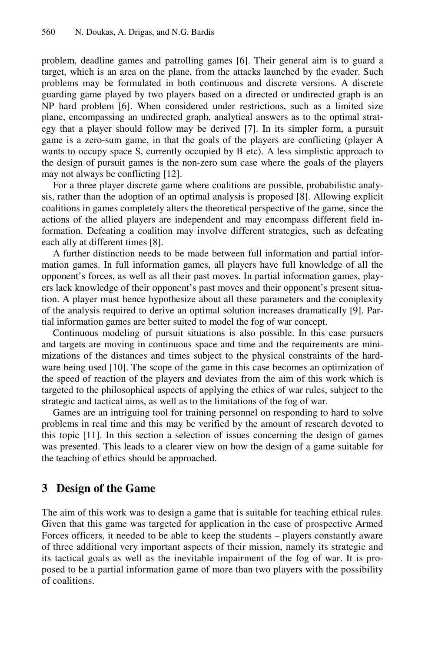problem, deadline games and patrolling games [6]. Their general aim is to guard a target, which is an area on the plane, from the attacks launched by the evader. Such problems may be formulated in both continuous and discrete versions. A discrete guarding game played by two players based on a directed or undirected graph is an NP hard problem [6]. When considered under restrictions, such as a limited size plane, encompassing an undirected graph, analytical answers as to the optimal strategy that a player should follow may be derived [7]. In its simpler form, a pursuit game is a zero-sum game, in that the goals of the players are conflicting (player A wants to occupy space S, currently occupied by B etc). A less simplistic approach to the design of pursuit games is the non-zero sum case where the goals of the players may not always be conflicting [12].

For a three player discrete game where coalitions are possible, probabilistic analysis, rather than the adoption of an optimal analysis is proposed [8]. Allowing explicit coalitions in games completely alters the theoretical perspective of the game, since the actions of the allied players are independent and may encompass different field information. Defeating a coalition may involve different strategies, such as defeating each ally at different times [8].

A further distinction needs to be made between full information and partial information games. In full information games, all players have full knowledge of all the opponent's forces, as well as all their past moves. In partial information games, players lack knowledge of their opponent's past moves and their opponent's present situation. A player must hence hypothesize about all these parameters and the complexity of the analysis required to derive an optimal solution increases dramatically [9]. Partial information games are better suited to model the fog of war concept.

Continuous modeling of pursuit situations is also possible. In this case pursuers and targets are moving in continuous space and time and the requirements are minimizations of the distances and times subject to the physical constraints of the hardware being used [10]. The scope of the game in this case becomes an optimization of the speed of reaction of the players and deviates from the aim of this work which is targeted to the philosophical aspects of applying the ethics of war rules, subject to the strategic and tactical aims, as well as to the limitations of the fog of war.

Games are an intriguing tool for training personnel on responding to hard to solve problems in real time and this may be verified by the amount of research devoted to this topic [11]. In this section a selection of issues concerning the design of games was presented. This leads to a clearer view on how the design of a game suitable for the teaching of ethics should be approached.

# **3 Design of the Game**

The aim of this work was to design a game that is suitable for teaching ethical rules. Given that this game was targeted for application in the case of prospective Armed Forces officers, it needed to be able to keep the students – players constantly aware of three additional very important aspects of their mission, namely its strategic and its tactical goals as well as the inevitable impairment of the fog of war. It is proposed to be a partial information game of more than two players with the possibility of coalitions.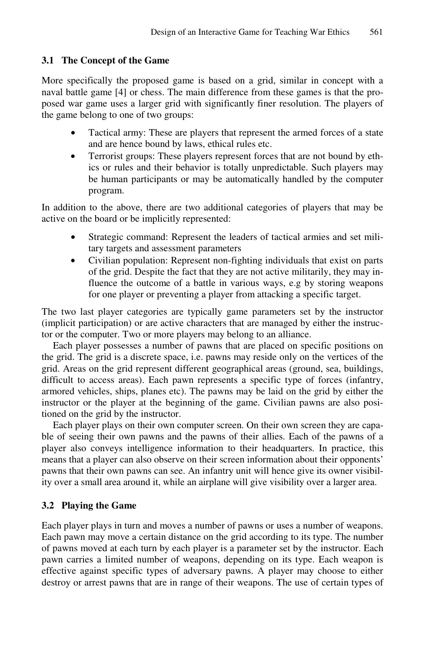#### **3.1 The Concept of the Game**

More specifically the proposed game is based on a grid, similar in concept with a naval battle game [4] or chess. The main difference from these games is that the proposed war game uses a larger grid with significantly finer resolution. The players of the game belong to one of two groups:

- Tactical army: These are players that represent the armed forces of a state and are hence bound by laws, ethical rules etc.
- Terrorist groups: These players represent forces that are not bound by ethics or rules and their behavior is totally unpredictable. Such players may be human participants or may be automatically handled by the computer program.

In addition to the above, there are two additional categories of players that may be active on the board or be implicitly represented:

- Strategic command: Represent the leaders of tactical armies and set military targets and assessment parameters
- Civilian population: Represent non-fighting individuals that exist on parts of the grid. Despite the fact that they are not active militarily, they may influence the outcome of a battle in various ways, e.g by storing weapons for one player or preventing a player from attacking a specific target.

The two last player categories are typically game parameters set by the instructor (implicit participation) or are active characters that are managed by either the instructor or the computer. Two or more players may belong to an alliance.

Each player possesses a number of pawns that are placed on specific positions on the grid. The grid is a discrete space, i.e. pawns may reside only on the vertices of the grid. Areas on the grid represent different geographical areas (ground, sea, buildings, difficult to access areas). Each pawn represents a specific type of forces (infantry, armored vehicles, ships, planes etc). The pawns may be laid on the grid by either the instructor or the player at the beginning of the game. Civilian pawns are also positioned on the grid by the instructor.

Each player plays on their own computer screen. On their own screen they are capable of seeing their own pawns and the pawns of their allies. Each of the pawns of a player also conveys intelligence information to their headquarters. In practice, this means that a player can also observe on their screen information about their opponents' pawns that their own pawns can see. An infantry unit will hence give its owner visibility over a small area around it, while an airplane will give visibility over a larger area.

## **3.2 Playing the Game**

Each player plays in turn and moves a number of pawns or uses a number of weapons. Each pawn may move a certain distance on the grid according to its type. The number of pawns moved at each turn by each player is a parameter set by the instructor. Each pawn carries a limited number of weapons, depending on its type. Each weapon is effective against specific types of adversary pawns. A player may choose to either destroy or arrest pawns that are in range of their weapons. The use of certain types of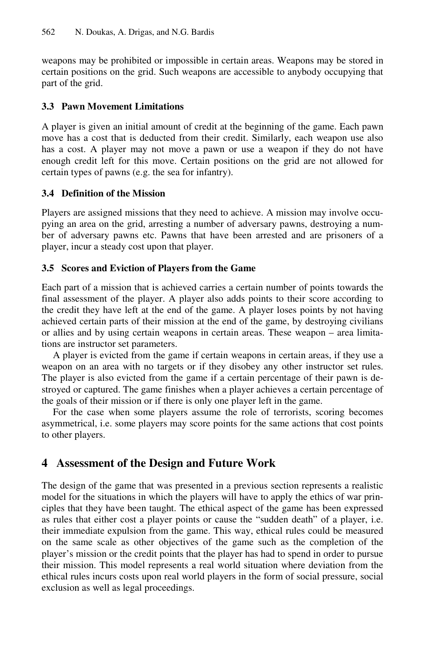weapons may be prohibited or impossible in certain areas. Weapons may be stored in certain positions on the grid. Such weapons are accessible to anybody occupying that part of the grid.

#### **3.3 Pawn Movement Limitations**

A player is given an initial amount of credit at the beginning of the game. Each pawn move has a cost that is deducted from their credit. Similarly, each weapon use also has a cost. A player may not move a pawn or use a weapon if they do not have enough credit left for this move. Certain positions on the grid are not allowed for certain types of pawns (e.g. the sea for infantry).

#### **3.4 Definition of the Mission**

Players are assigned missions that they need to achieve. A mission may involve occupying an area on the grid, arresting a number of adversary pawns, destroying a number of adversary pawns etc. Pawns that have been arrested and are prisoners of a player, incur a steady cost upon that player.

#### **3.5 Scores and Eviction of Players from the Game**

Each part of a mission that is achieved carries a certain number of points towards the final assessment of the player. A player also adds points to their score according to the credit they have left at the end of the game. A player loses points by not having achieved certain parts of their mission at the end of the game, by destroying civilians or allies and by using certain weapons in certain areas. These weapon – area limitations are instructor set parameters.

A player is evicted from the game if certain weapons in certain areas, if they use a weapon on an area with no targets or if they disobey any other instructor set rules. The player is also evicted from the game if a certain percentage of their pawn is destroyed or captured. The game finishes when a player achieves a certain percentage of the goals of their mission or if there is only one player left in the game.

For the case when some players assume the role of terrorists, scoring becomes asymmetrical, i.e. some players may score points for the same actions that cost points to other players.

# **4 Assessment of the Design and Future Work**

The design of the game that was presented in a previous section represents a realistic model for the situations in which the players will have to apply the ethics of war principles that they have been taught. The ethical aspect of the game has been expressed as rules that either cost a player points or cause the "sudden death" of a player, i.e. their immediate expulsion from the game. This way, ethical rules could be measured on the same scale as other objectives of the game such as the completion of the player's mission or the credit points that the player has had to spend in order to pursue their mission. This model represents a real world situation where deviation from the ethical rules incurs costs upon real world players in the form of social pressure, social exclusion as well as legal proceedings.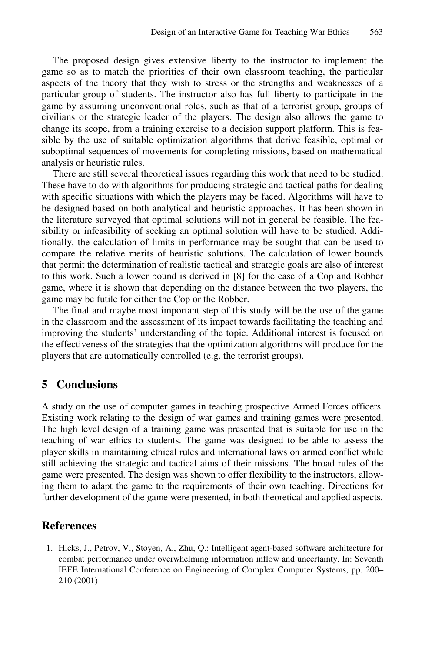The proposed design gives extensive liberty to the instructor to implement the game so as to match the priorities of their own classroom teaching, the particular aspects of the theory that they wish to stress or the strengths and weaknesses of a particular group of students. The instructor also has full liberty to participate in the game by assuming unconventional roles, such as that of a terrorist group, groups of civilians or the strategic leader of the players. The design also allows the game to change its scope, from a training exercise to a decision support platform. This is feasible by the use of suitable optimization algorithms that derive feasible, optimal or suboptimal sequences of movements for completing missions, based on mathematical analysis or heuristic rules.

There are still several theoretical issues regarding this work that need to be studied. These have to do with algorithms for producing strategic and tactical paths for dealing with specific situations with which the players may be faced. Algorithms will have to be designed based on both analytical and heuristic approaches. It has been shown in the literature surveyed that optimal solutions will not in general be feasible. The feasibility or infeasibility of seeking an optimal solution will have to be studied. Additionally, the calculation of limits in performance may be sought that can be used to compare the relative merits of heuristic solutions. The calculation of lower bounds that permit the determination of realistic tactical and strategic goals are also of interest to this work. Such a lower bound is derived in [8] for the case of a Cop and Robber game, where it is shown that depending on the distance between the two players, the game may be futile for either the Cop or the Robber.

The final and maybe most important step of this study will be the use of the game in the classroom and the assessment of its impact towards facilitating the teaching and improving the students' understanding of the topic. Additional interest is focused on the effectiveness of the strategies that the optimization algorithms will produce for the players that are automatically controlled (e.g. the terrorist groups).

## **5 Conclusions**

A study on the use of computer games in teaching prospective Armed Forces officers. Existing work relating to the design of war games and training games were presented. The high level design of a training game was presented that is suitable for use in the teaching of war ethics to students. The game was designed to be able to assess the player skills in maintaining ethical rules and international laws on armed conflict while still achieving the strategic and tactical aims of their missions. The broad rules of the game were presented. The design was shown to offer flexibility to the instructors, allowing them to adapt the game to the requirements of their own teaching. Directions for further development of the game were presented, in both theoretical and applied aspects.

## **References**

1. Hicks, J., Petrov, V., Stoyen, A., Zhu, Q.: Intelligent agent-based software architecture for combat performance under overwhelming information inflow and uncertainty. In: Seventh IEEE International Conference on Engineering of Complex Computer Systems, pp. 200– 210 (2001)